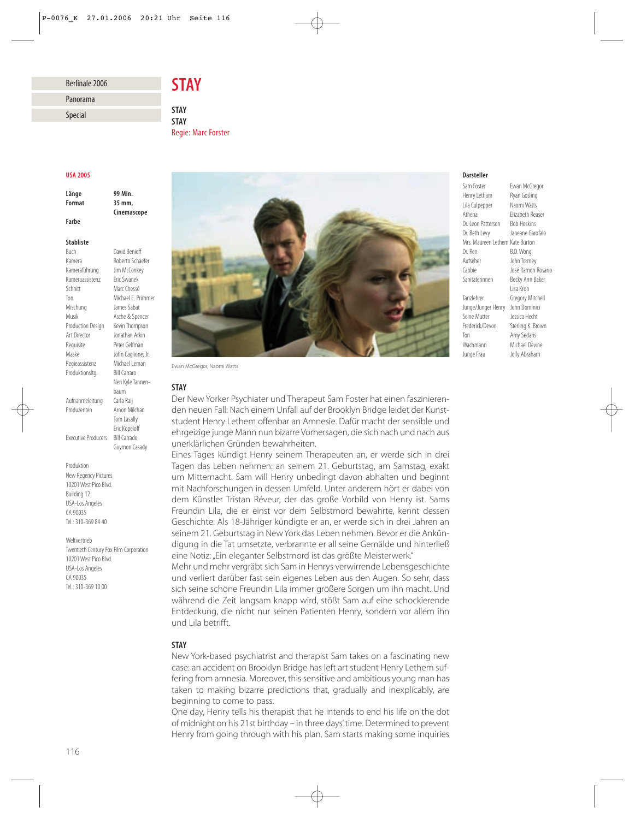# Berlinale 2006 Panorama

# *STAY*

*STAY STAY* Regie: Marc Forster

### *USA 2005*

Special

*Länge 99 Min. Format 35 mm, Farbe*

*Cinemascope*

#### *Stabliste*

Buch David Benioff Kamera Roberto Schaefer Kameraführung Jim McConkey<br>Kameraassistenz Fric Swanek Kameraassistenz Schnitt Marc Chessé Ton Michael E. Primmer Mischung James Sabat Musik Asche & Spencer Production Design Kevin Thompson Art Director Jonathan Arkin Requisite Peter Gelfman Maske John Caglione, Jr. Regieassistenz Michael Leman Produktionsltg. Bill Carraro Neri Kyle Tannenbaum<br>Carla Raii Aufnahmeleitung Produzenten Arnon Milchan Tom Lasally Eric Kopeloff Executive Producers Bill Carrado Guymon Casady

Produktion New Regency Pictures 10201 West Pico Blvd. Building 12 USA-Los Angeles CA 90035 Tel.: 310-369 84 40

Weltvertrieb Twentieth Century Fox Film Corporation 10201 West Pico Blvd. USA-Los Angeles CA 90035 Tel.: 310-369 10 00



Ewan McGregor, Naomi Watts

### *STAY*

Der New Yorker Psychiater und Therapeut Sam Foster hat einen faszinierenden neuen Fall: Nach einem Unfall auf der Brooklyn Bridge leidet der Kunststudent Henry Lethem offenbar an Amnesie. Dafür macht der sensible und ehrgeizige junge Mann nun bizarre Vorhersagen, die sich nach und nach aus unerklärlichen Gründen bewahrheiten.

Eines Tages kündigt Henry seinem Therapeuten an, er werde sich in drei Tagen das Leben nehmen: an seinem 21. Geburtstag, am Samstag, exakt um Mitternacht. Sam will Henry unbedingt davon abhalten und beginnt mit Nachforschungen in dessen Umfeld. Unter anderem hört er dabei von dem Künstler Tristan Réveur, der das große Vorbild von Henry ist. Sams Freundin Lila, die er einst vor dem Selbstmord bewahrte, kennt dessen Geschichte: Als 18-Jähriger kündigte er an, er werde sich in drei Jahren an seinem 21. Geburtstag in New York das Leben nehmen. Bevor er die Ankündigung in die Tat umsetzte, verbrannte er all seine Gemälde und hinterließ eine Notiz: "Ein eleganter Selbstmord ist das größte Meisterwerk."

Mehr und mehr vergräbt sich Sam in Henrys verwirrende Lebensgeschichte und verliert darüber fast sein eigenes Leben aus den Augen. So sehr, dass sich seine schöne Freundin Lila immer größere Sorgen um ihn macht. Und während die Zeit langsam knapp wird, stößt Sam auf eine schockierende Entdeckung, die nicht nur seinen Patienten Henry, sondern vor allem ihn und Lila betrifft.

# *STAY*

New York-based psychiatrist and therapist Sam takes on a fascinating new case: an accident on Brooklyn Bridge has left art student Henry Lethem suffering from amnesia. Moreover, this sensitive and ambitious young man has taken to making bizarre predictions that, gradually and inexplicably, are beginning to come to pass.

One day, Henry tells his therapist that he intends to end his life on the dot of midnight on his 21st birthday – in three days' time. Determined to prevent Henry from going through with his plan, Sam starts making some inquiries

## *Darsteller*

Sam Foster Ewan McGregor<br>Henry Letham Ryan Gosling Henry Letham Lila Culpepper Naomi Watts Athena Elizabeth Reaser Dr. Leon Patterson Bob Hoskins Dr. Beth Levy Janeane Garofalo Mrs. Maureen Lethem Kate Burton Dr. Ren B.D. Wong Aufseher John Tormey Cabbie José Ramon Rosario Sanitäterinnen Becky Ann Baker Lisa Kron Tanzlehrer Gregory Mitchell Junge/Junger Henry John Dominici Seine Mutter Jessica Hecht Frederick/Devon Sterling K. Brown Ton Amy Sedaris Wachmann Michael Devine Junge Frau Jolly Abraham